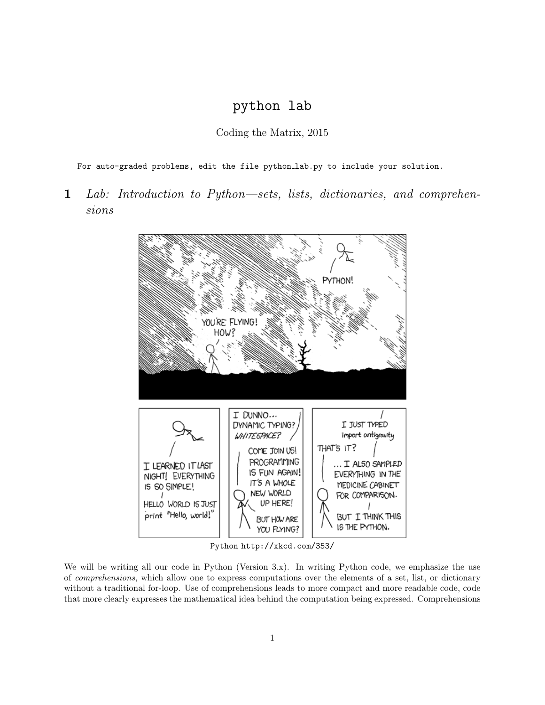# python lab

Coding the Matrix, 2015

For auto-graded problems, edit the file python lab.py to include your solution.

1 Lab: Introduction to Python—sets, lists, dictionaries, and comprehensions



Python http://xkcd.com/353/

We will be writing all our code in Python (Version 3.x). In writing Python code, we emphasize the use of comprehensions, which allow one to express computations over the elements of a set, list, or dictionary without a traditional for-loop. Use of comprehensions leads to more compact and more readable code, code that more clearly expresses the mathematical idea behind the computation being expressed. Comprehensions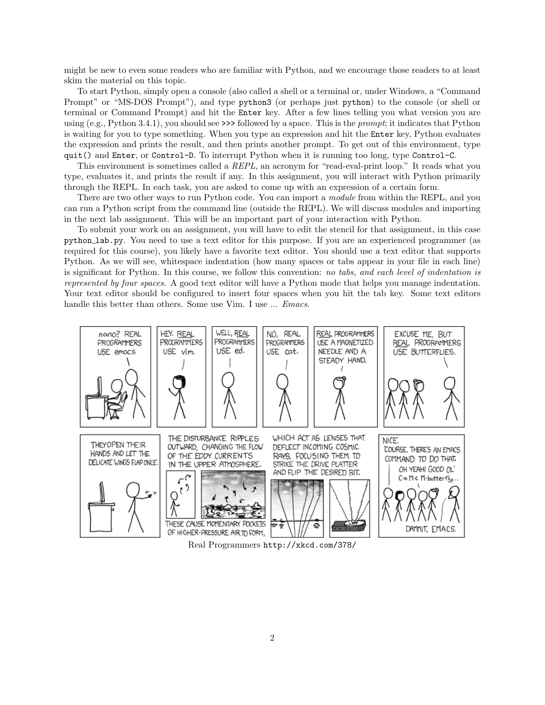might be new to even some readers who are familiar with Python, and we encourage those readers to at least skim the material on this topic.

To start Python, simply open a console (also called a shell or a terminal or, under Windows, a "Command Prompt" or "MS-DOS Prompt"), and type python3 (or perhaps just python) to the console (or shell or terminal or Command Prompt) and hit the Enter key. After a few lines telling you what version you are using  $(e.g., Python 3.4.1)$ , you should see >>> followed by a space. This is the *prompt*; it indicates that Python is waiting for you to type something. When you type an expression and hit the Enter key, Python evaluates the expression and prints the result, and then prints another prompt. To get out of this environment, type quit() and Enter, or Control-D. To interrupt Python when it is running too long, type Control-C.

This environment is sometimes called a REPL, an acronym for "read-eval-print loop." It reads what you type, evaluates it, and prints the result if any. In this assignment, you will interact with Python primarily through the REPL. In each task, you are asked to come up with an expression of a certain form.

There are two other ways to run Python code. You can import a module from within the REPL, and you can run a Python script from the command line (outside the REPL). We will discuss modules and importing in the next lab assignment. This will be an important part of your interaction with Python.

To submit your work on an assignment, you will have to edit the stencil for that assignment, in this case python lab.py. You need to use a text editor for this purpose. If you are an experienced programmer (as required for this course), you likely have a favorite text editor. You should use a text editor that supports Python. As we will see, whitespace indentation (how many spaces or tabs appear in your file in each line) is significant for Python. In this course, we follow this convention: no tabs, and each level of indentation is represented by four spaces. A good text editor will have a Python mode that helps you manage indentation. Your text editor should be configured to insert four spaces when you hit the tab key. Some text editors handle this better than others. Some use Vim. I use ... *Emacs*.



Real Programmers http://xkcd.com/378/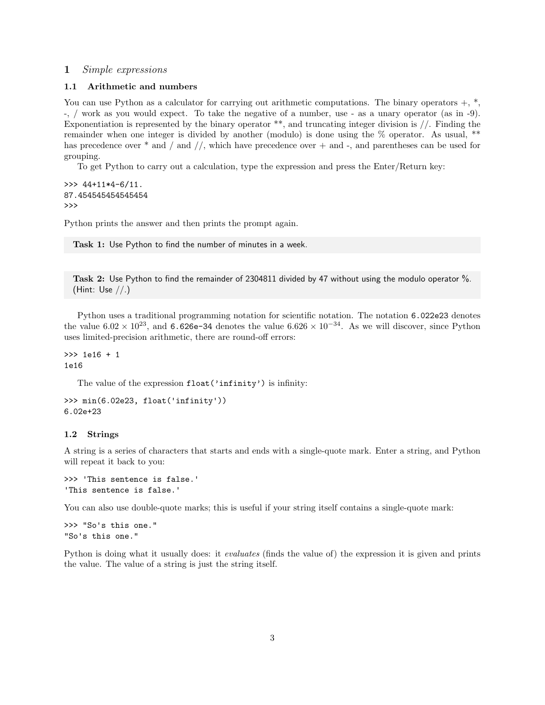# 1 Simple expressions

## 1.1 Arithmetic and numbers

You can use Python as a calculator for carrying out arithmetic computations. The binary operators  $+$ ,  $*$ , -, / work as you would expect. To take the negative of a number, use - as a unary operator (as in -9). Exponentiation is represented by the binary operator \*\*, and truncating integer division is //. Finding the remainder when one integer is divided by another (modulo) is done using the % operator. As usual, \*\* has precedence over  $*$  and  $/$  and  $/$ , which have precedence over  $+$  and  $-$ , and parentheses can be used for grouping.

To get Python to carry out a calculation, type the expression and press the Enter/Return key:

```
>>> 44+11*4-6/11.
87.454545454545454
>>>
```
Python prints the answer and then prints the prompt again.

Task 1: Use Python to find the number of minutes in a week.

Task 2: Use Python to find the remainder of 2304811 divided by 47 without using the modulo operator %. (Hint: Use //.)

Python uses a traditional programming notation for scientific notation. The notation 6.022e23 denotes the value  $6.02 \times 10^{23}$ , and  $6.626e-34$  denotes the value  $6.626 \times 10^{-34}$ . As we will discover, since Python uses limited-precision arithmetic, there are round-off errors:

>>> 1e16 + 1 1e16

The value of the expression float ('infinity') is infinity:

```
>>> min(6.02e23, float('infinity'))
6.02e+23
```
## 1.2 Strings

A string is a series of characters that starts and ends with a single-quote mark. Enter a string, and Python will repeat it back to you:

```
>>> 'This sentence is false.'
'This sentence is false.'
```
You can also use double-quote marks; this is useful if your string itself contains a single-quote mark:

>>> "So's this one." "So's this one."

Python is doing what it usually does: it *evaluates* (finds the value of) the expression it is given and prints the value. The value of a string is just the string itself.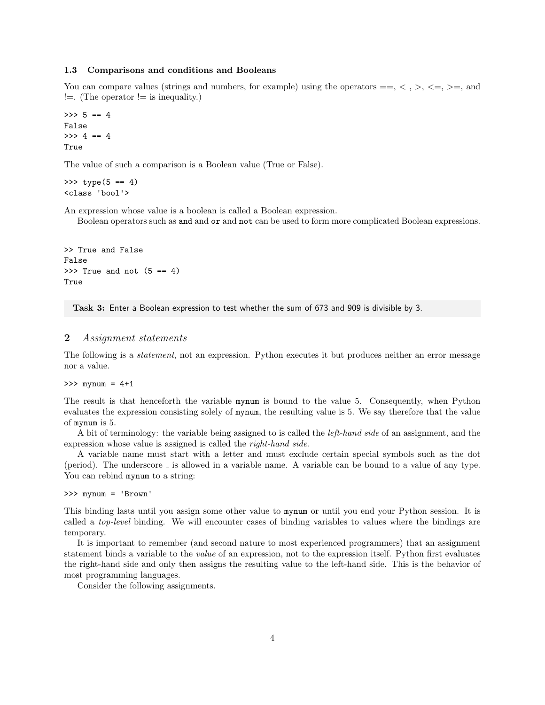#### 1.3 Comparisons and conditions and Booleans

You can compare values (strings and numbers, for example) using the operators  $==, <, >, <=, >=$ , and  $!=$ . (The operator  $!=$  is inequality.)

```
>> 5 == 4
False
\gg 4 == 4
True
```
The value of such a comparison is a Boolean value (True or False).

>>>  $type(5 == 4)$ <class 'bool'>

An expression whose value is a boolean is called a Boolean expression.

Boolean operators such as and and or and not can be used to form more complicated Boolean expressions.

```
>> True and False
False
\gg True and not (5 == 4)True
```
Task 3: Enter a Boolean expression to test whether the sum of 673 and 909 is divisible by 3.

## 2 Assignment statements

The following is a statement, not an expression. Python executes it but produces neither an error message nor a value.

 $>>$  mynum =  $4+1$ 

The result is that henceforth the variable mynum is bound to the value 5. Consequently, when Python evaluates the expression consisting solely of mynum, the resulting value is 5. We say therefore that the value of mynum is 5.

A bit of terminology: the variable being assigned to is called the *left-hand side* of an assignment, and the expression whose value is assigned is called the right-hand side.

A variable name must start with a letter and must exclude certain special symbols such as the dot (period). The underscore  $\overline{\ }$  is allowed in a variable name. A variable can be bound to a value of any type. You can rebind mynum to a string:

```
>>> mynum = 'Brown'
```
This binding lasts until you assign some other value to mynum or until you end your Python session. It is called a top-level binding. We will encounter cases of binding variables to values where the bindings are temporary.

It is important to remember (and second nature to most experienced programmers) that an assignment statement binds a variable to the value of an expression, not to the expression itself. Python first evaluates the right-hand side and only then assigns the resulting value to the left-hand side. This is the behavior of most programming languages.

Consider the following assignments.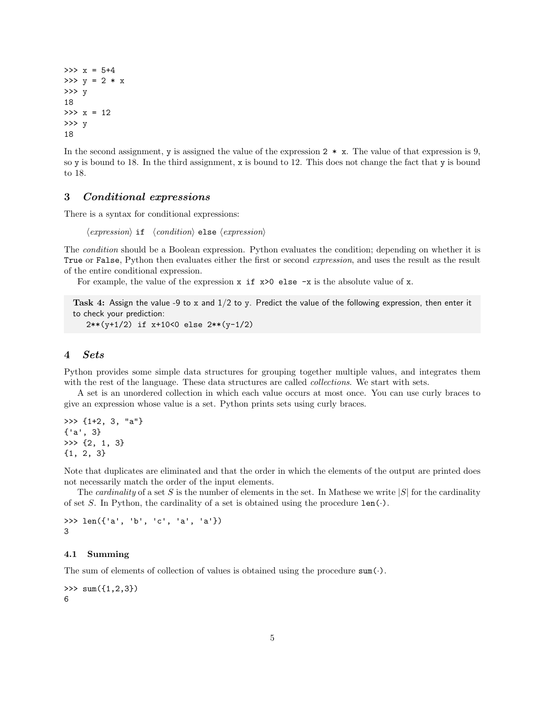$>> x = 5+4$  $>>$  y = 2 \* x >>> y 18  $>> x = 12$ >>> y 18

In the second assignment, y is assigned the value of the expression  $2 \times x$ . The value of that expression is 9, so y is bound to 18. In the third assignment, x is bound to 12. This does not change the fact that y is bound to 18.

# 3 Conditional expressions

There is a syntax for conditional expressions:

 $\langle expression \rangle$  if  $\langle condition \rangle$  else  $\langle expression \rangle$ 

The condition should be a Boolean expression. Python evaluates the condition; depending on whether it is True or False, Python then evaluates either the first or second *expression*, and uses the result as the result of the entire conditional expression.

For example, the value of the expression  $x$  if  $x>0$  else  $-x$  is the absolute value of x.

Task 4: Assign the value -9 to x and 1/2 to y. Predict the value of the following expression, then enter it to check your prediction:

```
2**(y+1/2) if x+10<0 else 2**(y-1/2)
```
# 4 Sets

Python provides some simple data structures for grouping together multiple values, and integrates them with the rest of the language. These data structures are called *collections*. We start with sets.

A set is an unordered collection in which each value occurs at most once. You can use curly braces to give an expression whose value is a set. Python prints sets using curly braces.

>>> {1+2, 3, "a"} {'a', 3} >>> {2, 1, 3} {1, 2, 3}

Note that duplicates are eliminated and that the order in which the elements of the output are printed does not necessarily match the order of the input elements.

The *cardinality* of a set S is the number of elements in the set. In Mathese we write  $|S|$  for the cardinality of set S. In Python, the cardinality of a set is obtained using the procedure  $len(\cdot)$ .

```
>>> len({'a', 'b', 'c', 'a', 'a'})
3
```
# 4.1 Summing

The sum of elements of collection of values is obtained using the procedure  $sum(\cdot)$ .

 $\gg$  sum( $\{1, 2, 3\}$ ) 6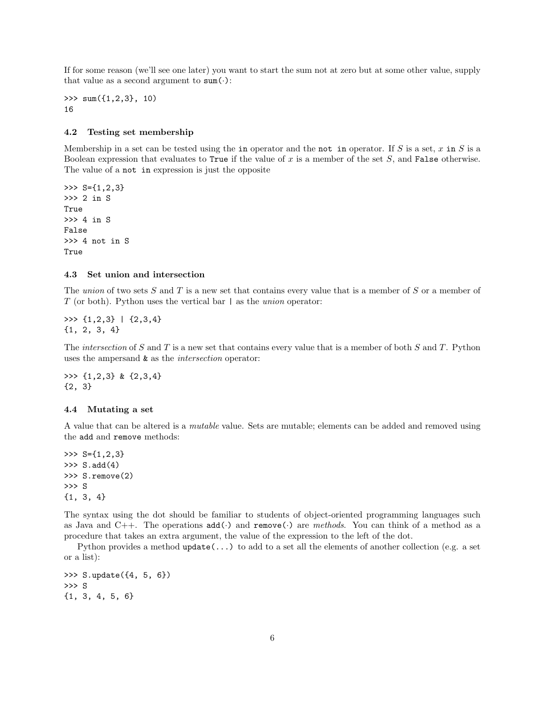If for some reason (we'll see one later) you want to start the sum not at zero but at some other value, supply that value as a second argument to  $sum(\cdot)$ :

>>> sum({1,2,3}, 10) 16

## 4.2 Testing set membership

Membership in a set can be tested using the in operator and the not in operator. If S is a set, x in S is a Boolean expression that evaluates to True if the value of x is a member of the set S, and False otherwise. The value of a not in expression is just the opposite

 $\gg$  S= $\{1, 2, 3\}$ >>> 2 in S True >>> 4 in S False >>> 4 not in S True

## 4.3 Set union and intersection

The union of two sets  $S$  and  $T$  is a new set that contains every value that is a member of  $S$  or a member of T (or both). Python uses the vertical bar  $|$  as the *union* operator:

>>> {1,2,3} | {2,3,4} {1, 2, 3, 4}

The intersection of S and T is a new set that contains every value that is a member of both S and T. Python uses the ampersand & as the intersection operator:

>>> {1,2,3} & {2,3,4} {2, 3}

## 4.4 Mutating a set

A value that can be altered is a mutable value. Sets are mutable; elements can be added and removed using the add and remove methods:

>>>  $S = \{1, 2, 3\}$  $>> S.add(4)$ >>> S.remove(2) >>> S {1, 3, 4}

The syntax using the dot should be familiar to students of object-oriented programming languages such as Java and C++. The operations  $add(\cdot)$  and remove( $\cdot$ ) are methods. You can think of a method as a procedure that takes an extra argument, the value of the expression to the left of the dot.

Python provides a method  $update(...)$  to add to a set all the elements of another collection (e.g. a set or a list):

```
>>> S.update({4, 5, 6})
>>> S
{1, 3, 4, 5, 6}
```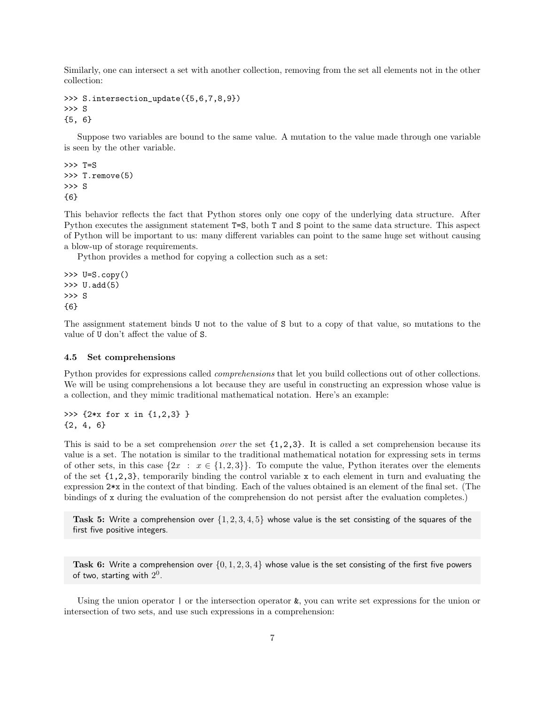Similarly, one can intersect a set with another collection, removing from the set all elements not in the other collection:

```
>>> S.intersection_update({5,6,7,8,9})
>>> S
{5, 6}
```
Suppose two variables are bound to the same value. A mutation to the value made through one variable is seen by the other variable.

```
>>> T=S
>>> T.remove(5)
>>> S
{6}
```
This behavior reflects the fact that Python stores only one copy of the underlying data structure. After Python executes the assignment statement T=S, both T and S point to the same data structure. This aspect of Python will be important to us: many different variables can point to the same huge set without causing a blow-up of storage requirements.

Python provides a method for copying a collection such as a set:

```
\gg U=S.copy()
>> U.add(5)>>> S
{6}
```
The assignment statement binds U not to the value of S but to a copy of that value, so mutations to the value of U don't affect the value of S.

## 4.5 Set comprehensions

Python provides for expressions called comprehensions that let you build collections out of other collections. We will be using comprehensions a lot because they are useful in constructing an expression whose value is a collection, and they mimic traditional mathematical notation. Here's an example:

>>> {2\*x for x in {1,2,3} } {2, 4, 6}

This is said to be a set comprehension *over* the set  $\{1,2,3\}$ . It is called a set comprehension because its value is a set. The notation is similar to the traditional mathematical notation for expressing sets in terms of other sets, in this case  $\{2x : x \in \{1,2,3\}\}\.$  To compute the value, Python iterates over the elements of the set  $\{1,2,3\}$ , temporarily binding the control variable x to each element in turn and evaluating the expression 2\*x in the context of that binding. Each of the values obtained is an element of the final set. (The bindings of x during the evaluation of the comprehension do not persist after the evaluation completes.)

Task 5: Write a comprehension over  $\{1, 2, 3, 4, 5\}$  whose value is the set consisting of the squares of the first five positive integers.

Task 6: Write a comprehension over  $\{0, 1, 2, 3, 4\}$  whose value is the set consisting of the first five powers of two, starting with  $2^0$ .

Using the union operator  $\vert$  or the intersection operator  $\&$ , you can write set expressions for the union or intersection of two sets, and use such expressions in a comprehension: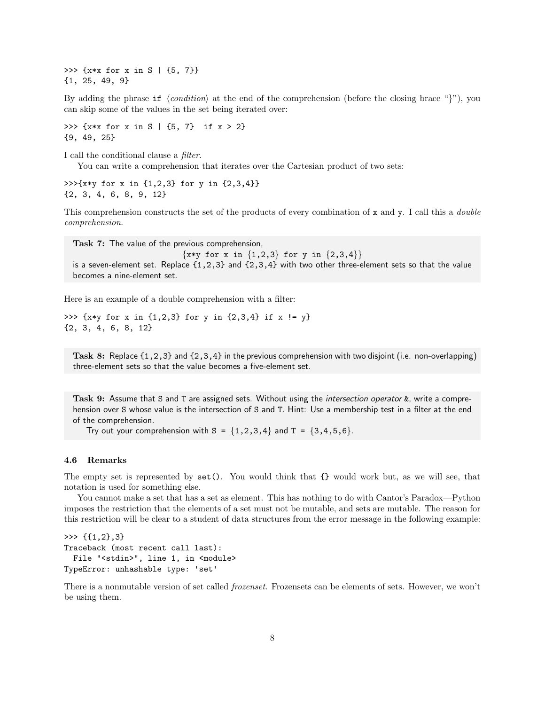>>>  $\{x*x \text{ for } x \text{ in } S \mid \{5, 7\}\}\$ {1, 25, 49, 9}

By adding the phrase if  $\langle condition \rangle$  at the end of the comprehension (before the closing brace "}"), you can skip some of the values in the set being iterated over:

>>> { $x*x$  for  $x$  in  $S$  | {5, 7} if  $x > 2$ } {9, 49, 25}

I call the conditional clause a filter.

You can write a comprehension that iterates over the Cartesian product of two sets:

 $\gg$  >> {x\*y for x in {1,2,3} for y in {2,3,4}} {2, 3, 4, 6, 8, 9, 12}

This comprehension constructs the set of the products of every combination of x and y. I call this a *double* comprehension.

Task 7: The value of the previous comprehension,

 ${x*y for x in {1,2,3} for y in {2,3,4}}$ is a seven-element set. Replace  $\{1,2,3\}$  and  $\{2,3,4\}$  with two other three-element sets so that the value becomes a nine-element set.

Here is an example of a double comprehension with a filter:

>>> {x\*y for x in {1,2,3} for y in {2,3,4} if x != y} {2, 3, 4, 6, 8, 12}

Task 8: Replace {1,2,3} and {2,3,4} in the previous comprehension with two disjoint (i.e. non-overlapping) three-element sets so that the value becomes a five-element set.

Task 9: Assume that S and T are assigned sets. Without using the *intersection operator &*, write a comprehension over S whose value is the intersection of S and T. Hint: Use a membership test in a filter at the end of the comprehension.

Try out your comprehension with  $S = \{1, 2, 3, 4\}$  and  $T = \{3, 4, 5, 6\}$ .

#### 4.6 Remarks

The empty set is represented by set(). You would think that {} would work but, as we will see, that notation is used for something else.

You cannot make a set that has a set as element. This has nothing to do with Cantor's Paradox—Python imposes the restriction that the elements of a set must not be mutable, and sets are mutable. The reason for this restriction will be clear to a student of data structures from the error message in the following example:

>>> {{1,2},3} Traceback (most recent call last): File "<stdin>", line 1, in <module> TypeError: unhashable type: 'set'

There is a nonmutable version of set called frozenset. Frozensets can be elements of sets. However, we won't be using them.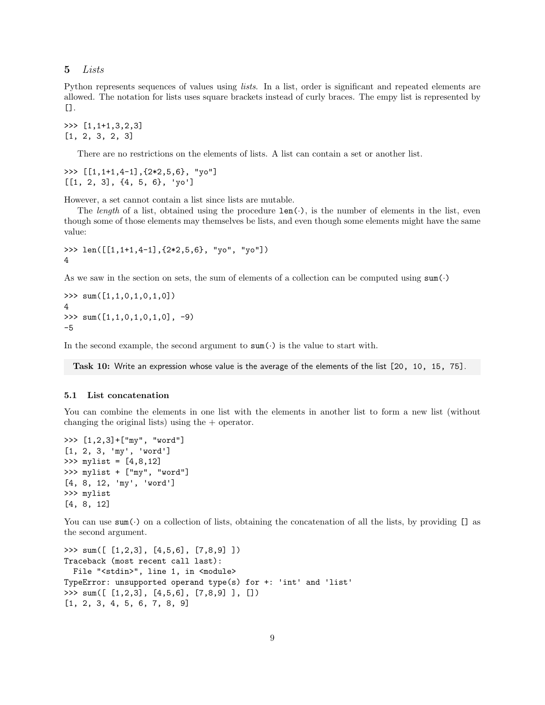5 Lists

Python represents sequences of values using lists. In a list, order is significant and repeated elements are allowed. The notation for lists uses square brackets instead of curly braces. The empy list is represented by [].

>>> [1,1+1,3,2,3] [1, 2, 3, 2, 3]

There are no restrictions on the elements of lists. A list can contain a set or another list.

>>> [[1,1+1,4-1],{2\*2,5,6}, "yo"]  $[1, 2, 3], {4, 5, 6}, 'yo']$ 

However, a set cannot contain a list since lists are mutable.

The length of a list, obtained using the procedure  $len(\cdot)$ , is the number of elements in the list, even though some of those elements may themselves be lists, and even though some elements might have the same value:

```
>>> len([[1,1+1,4-1],{2*2,5,6}, "yo", "yo"])
4
```
As we saw in the section on sets, the sum of elements of a collection can be computed using  $sum(\cdot)$ 

 $\gg$  sum( $[1,1,0,1,0,1,0]$ ) 4 >>> sum([1,1,0,1,0,1,0], -9) -5

In the second example, the second argument to  $\text{sum}(\cdot)$  is the value to start with.

Task 10: Write an expression whose value is the average of the elements of the list [20, 10, 15, 75].

#### 5.1 List concatenation

You can combine the elements in one list with the elements in another list to form a new list (without changing the original lists) using the + operator.

```
>>> [1,2,3]+["my", "word"]
[1, 2, 3, 'my', 'word']
>>> mylist = [4,8,12]
>>> mylist + ["my", "word"]
[4, 8, 12, 'my', 'word']
>>> mylist
[4, 8, 12]
```
You can use sum(.) on a collection of lists, obtaining the concatenation of all the lists, by providing  $[]$  as the second argument.

```
>>> sum([ [1,2,3], [4,5,6], [7,8,9] ])
Traceback (most recent call last):
 File "<stdin>", line 1, in <module>
TypeError: unsupported operand type(s) for +: 'int' and 'list'
>>> sum([ [1,2,3], [4,5,6], [7,8,9] ], [])
[1, 2, 3, 4, 5, 6, 7, 8, 9]
```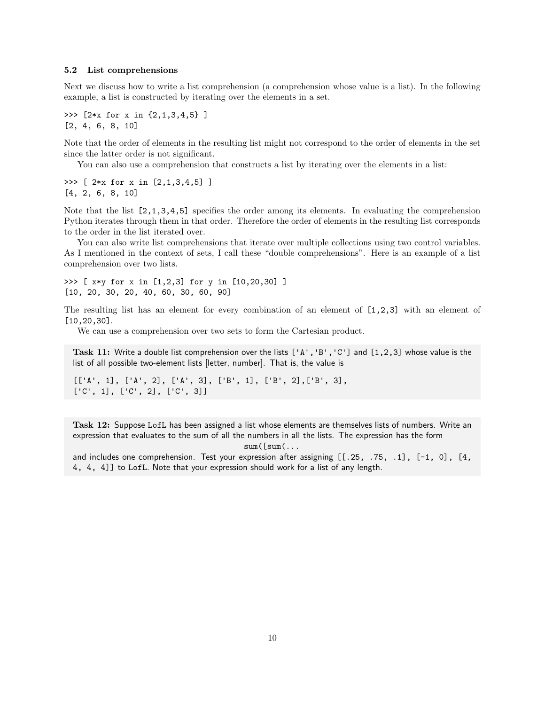#### 5.2 List comprehensions

Next we discuss how to write a list comprehension (a comprehension whose value is a list). In the following example, a list is constructed by iterating over the elements in a set.

>>> [2\*x for x in {2,1,3,4,5} ] [2, 4, 6, 8, 10]

Note that the order of elements in the resulting list might not correspond to the order of elements in the set since the latter order is not significant.

You can also use a comprehension that constructs a list by iterating over the elements in a list:

>>> [ 2\*x for x in [2,1,3,4,5] ] [4, 2, 6, 8, 10]

Note that the list [2,1,3,4,5] specifies the order among its elements. In evaluating the comprehension Python iterates through them in that order. Therefore the order of elements in the resulting list corresponds to the order in the list iterated over.

You can also write list comprehensions that iterate over multiple collections using two control variables. As I mentioned in the context of sets, I call these "double comprehensions". Here is an example of a list comprehension over two lists.

>>> [ x\*y for x in [1,2,3] for y in [10,20,30] ] [10, 20, 30, 20, 40, 60, 30, 60, 90]

The resulting list has an element for every combination of an element of  $[1,2,3]$  with an element of [10,20,30].

We can use a comprehension over two sets to form the Cartesian product.

Task 11: Write a double list comprehension over the lists ['A','B','C'] and [1,2,3] whose value is the list of all possible two-element lists [letter, number]. That is, the value is

[['A', 1], ['A', 2], ['A', 3], ['B', 1], ['B', 2],['B', 3], ['C', 1], ['C', 2], ['C', 3]]

Task 12: Suppose LofL has been assigned a list whose elements are themselves lists of numbers. Write an expression that evaluates to the sum of all the numbers in all the lists. The expression has the form

 $sum([sum(...$ 

and includes one comprehension. Test your expression after assigning [[.25, .75, .1], [-1, 0], [4, 4, 4, 4]] to LofL. Note that your expression should work for a list of any length.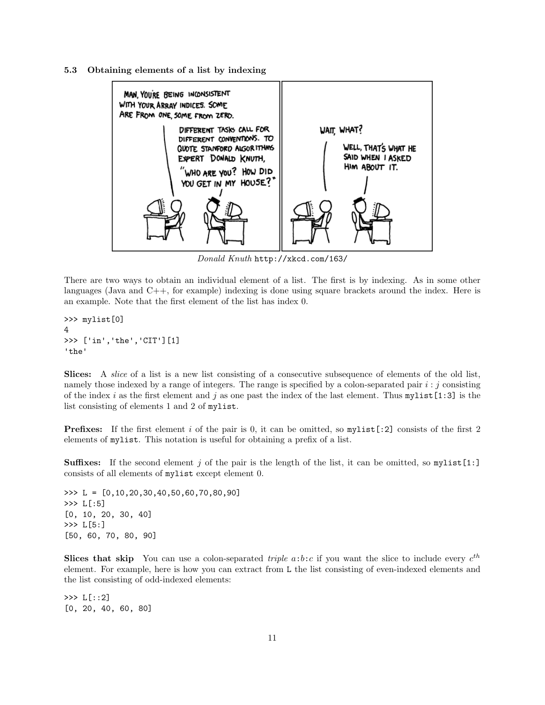5.3 Obtaining elements of a list by indexing



Donald Knuth http://xkcd.com/163/

There are two ways to obtain an individual element of a list. The first is by indexing. As in some other languages (Java and C++, for example) indexing is done using square brackets around the index. Here is an example. Note that the first element of the list has index 0.

```
>>> mylist[0]
4
>>> ['in','the','CIT'][1]
'the'
```
Slices: A *slice* of a list is a new list consisting of a consecutive subsequence of elements of the old list, namely those indexed by a range of integers. The range is specified by a colon-separated pair  $i : j$  consisting of the index i as the first element and j as one past the index of the last element. Thus mylist[1:3] is the list consisting of elements 1 and 2 of mylist.

**Prefixes:** If the first element i of the pair is 0, it can be omitted, so  $mylist[:2]$  consists of the first 2 elements of mylist. This notation is useful for obtaining a prefix of a list.

**Suffixes:** If the second element j of the pair is the length of the list, it can be omitted, so  $mylist[1:]$ consists of all elements of mylist except element 0.

>>> L = [0,10,20,30,40,50,60,70,80,90] >>> L[:5] [0, 10, 20, 30, 40] >>> L[5:] [50, 60, 70, 80, 90]

Slices that skip You can use a colon-separated *triple*  $a:b:c$  if you want the slice to include every  $c^{th}$ element. For example, here is how you can extract from L the list consisting of even-indexed elements and the list consisting of odd-indexed elements:

>>> L[::2] [0, 20, 40, 60, 80]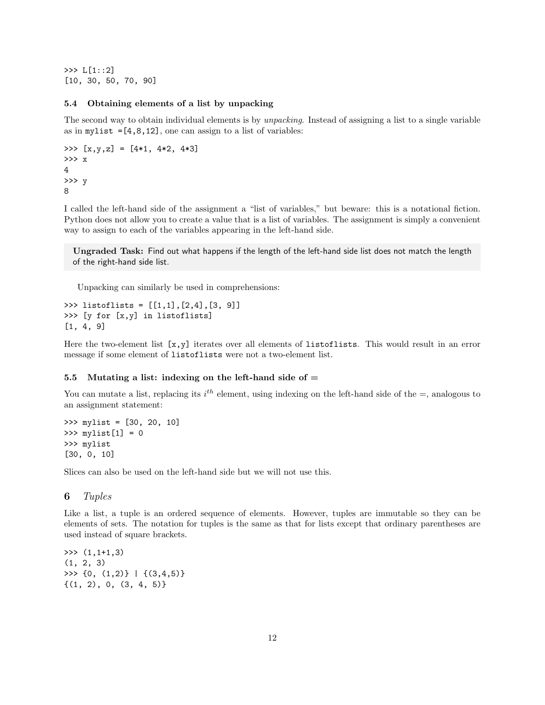>>> L[1::2] [10, 30, 50, 70, 90]

#### 5.4 Obtaining elements of a list by unpacking

The second way to obtain individual elements is by *unpacking*. Instead of assigning a list to a single variable as in mylist  $=[4,8,12]$ , one can assign to a list of variables:

```
>>> [x,y,z] = [4*1, 4*2, 4*3]
>>> x
4
>>> y
8
```
I called the left-hand side of the assignment a "list of variables," but beware: this is a notational fiction. Python does not allow you to create a value that is a list of variables. The assignment is simply a convenient way to assign to each of the variables appearing in the left-hand side.

Ungraded Task: Find out what happens if the length of the left-hand side list does not match the length of the right-hand side list.

Unpacking can similarly be used in comprehensions:

```
>>> listoflists = [[1,1],[2,4],[3, 9]]
>>> [y for [x,y] in listoflists]
[1, 4, 9]
```
Here the two-element list  $[x, y]$  iterates over all elements of listoflists. This would result in an error message if some element of listoflists were not a two-element list.

## 5.5 Mutating a list: indexing on the left-hand side of  $=$

You can mutate a list, replacing its  $i^{th}$  element, using indexing on the left-hand side of the  $=$ , analogous to an assignment statement:

```
>>> mylist = [30, 20, 10]
>>> mylist[1] = 0
>>> mylist
[30, 0, 10]
```
Slices can also be used on the left-hand side but we will not use this.

## 6 Tuples

Like a list, a tuple is an ordered sequence of elements. However, tuples are immutable so they can be elements of sets. The notation for tuples is the same as that for lists except that ordinary parentheses are used instead of square brackets.

>>> (1,1+1,3) (1, 2, 3) >>>  $\{0, (1,2)\}$  |  $\{(3,4,5)\}$  $\{(1, 2), 0, (3, 4, 5)\}\$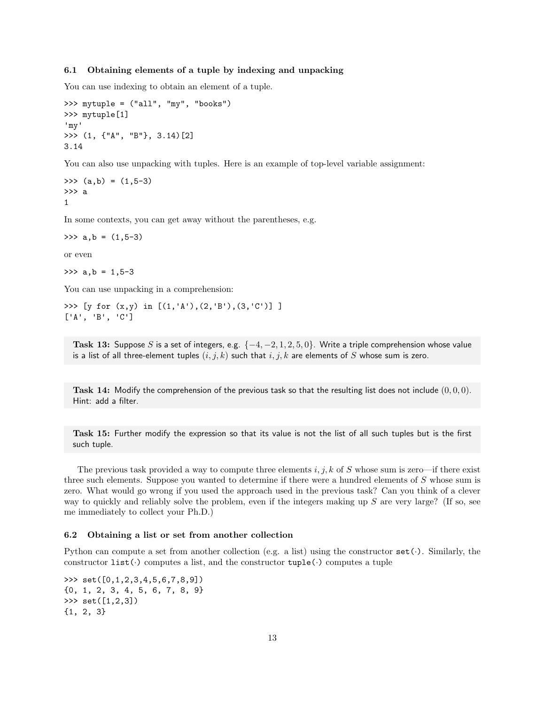### 6.1 Obtaining elements of a tuple by indexing and unpacking

You can use indexing to obtain an element of a tuple.

```
>>> mytuple = ("all", "my", "books")
>>> mytuple[1]
'my'
>>> (1, {"A", "B"}, 3.14)[2]
3.14
```
You can also use unpacking with tuples. Here is an example of top-level variable assignment:

 $\gg$  (a,b) =  $(1, 5-3)$ >>> a 1

In some contexts, you can get away without the parentheses, e.g.

 $\gg$  a, b =  $(1, 5-3)$ 

or even

 $\gg$  a, b = 1, 5-3

You can use unpacking in a comprehension:

>>> [y for (x,y) in [(1,'A'),(2,'B'),(3,'C')] ] ['A', 'B', 'C']

Task 13: Suppose S is a set of integers, e.g.  $\{-4, -2, 1, 2, 5, 0\}$ . Write a triple comprehension whose value is a list of all three-element tuples  $(i, j, k)$  such that  $i, j, k$  are elements of S whose sum is zero.

Task 14: Modify the comprehension of the previous task so that the resulting list does not include  $(0, 0, 0)$ . Hint: add a filter.

Task 15: Further modify the expression so that its value is not the list of all such tuples but is the first such tuple.

The previous task provided a way to compute three elements  $i, j, k$  of S whose sum is zero—if there exist three such elements. Suppose you wanted to determine if there were a hundred elements of S whose sum is zero. What would go wrong if you used the approach used in the previous task? Can you think of a clever way to quickly and reliably solve the problem, even if the integers making up  $S$  are very large? (If so, see me immediately to collect your Ph.D.)

#### 6.2 Obtaining a list or set from another collection

Python can compute a set from another collection (e.g. a list) using the constructor  $set(\cdot)$ . Similarly, the constructor list( $\cdot$ ) computes a list, and the constructor tuple( $\cdot$ ) computes a tuple

>>> set([0,1,2,3,4,5,6,7,8,9]) {0, 1, 2, 3, 4, 5, 6, 7, 8, 9} >>> set([1,2,3]) {1, 2, 3}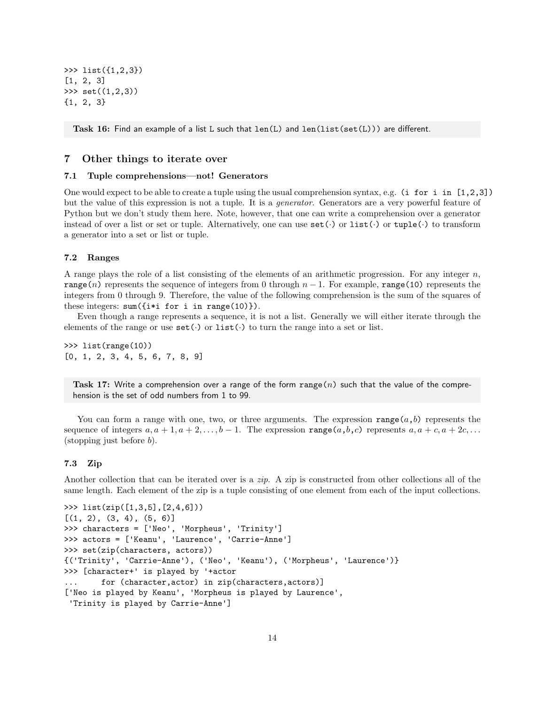>>> list({1,2,3}) [1, 2, 3] >>> set((1,2,3)) {1, 2, 3}

Task 16: Find an example of a list L such that len(L) and len(list(set(L))) are different.

# 7 Other things to iterate over

## 7.1 Tuple comprehensions—not! Generators

One would expect to be able to create a tuple using the usual comprehension syntax, e.g. (i for i in  $[1,2,3]$ ) but the value of this expression is not a tuple. It is a generator. Generators are a very powerful feature of Python but we don't study them here. Note, however, that one can write a comprehension over a generator instead of over a list or set or tuple. Alternatively, one can use  $\texttt{set}(\cdot)$  or  $\texttt{list}(\cdot)$  or  $\texttt{tuple}(\cdot)$  to transform a generator into a set or list or tuple.

#### 7.2 Ranges

A range plays the role of a list consisting of the elements of an arithmetic progression. For any integer  $n$ , range(n) represents the sequence of integers from 0 through  $n-1$ . For example, range(10) represents the integers from 0 through 9. Therefore, the value of the following comprehension is the sum of the squares of these integers:  $sum({i* i for i in range(10)})$ .

Even though a range represents a sequence, it is not a list. Generally we will either iterate through the elements of the range or use  $set(\cdot)$  or  $list(\cdot)$  to turn the range into a set or list.

>>> list(range(10)) [0, 1, 2, 3, 4, 5, 6, 7, 8, 9]

Task 17: Write a comprehension over a range of the form range  $(n)$  such that the value of the comprehension is the set of odd numbers from 1 to 99.

You can form a range with one, two, or three arguments. The expression range(a,b) represents the sequence of integers  $a, a + 1, a + 2, \ldots, b - 1$ . The expression range $(a, b, c)$  represents  $a, a + c, a + 2c, \ldots$ (stopping just before  $b$ ).

#### 7.3 Zip

Another collection that can be iterated over is a zip. A zip is constructed from other collections all of the same length. Each element of the zip is a tuple consisting of one element from each of the input collections.

```
>>> list(zip([1,3,5],[2,4,6]))
[(1, 2), (3, 4), (5, 6)]>>> characters = ['Neo', 'Morpheus', 'Trinity']
>>> actors = ['Keanu', 'Laurence', 'Carrie-Anne']
>>> set(zip(characters, actors))
{('Trinity', 'Carrie-Anne'), ('Neo', 'Keanu'), ('Morpheus', 'Laurence')}
>>> [character+' is played by '+actor
... for (character,actor) in zip(characters,actors)]
['Neo is played by Keanu', 'Morpheus is played by Laurence',
 'Trinity is played by Carrie-Anne']
```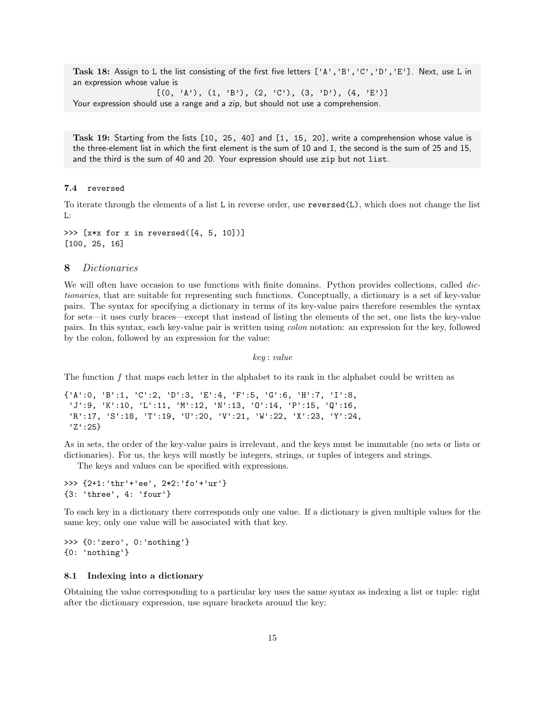Task 18: Assign to L the list consisting of the first five letters ['A','B','C','D','E']. Next, use L in an expression whose value is

 $[(0, 'A'), (1, 'B'), (2, 'C'), (3, 'D'), (4, 'E')]$ Your expression should use a range and a zip, but should not use a comprehension.

Task 19: Starting from the lists [10, 25, 40] and [1, 15, 20], write a comprehension whose value is the three-element list in which the first element is the sum of 10 and 1, the second is the sum of 25 and 15, and the third is the sum of 40 and 20. Your expression should use zip but not list.

#### 7.4 reversed

To iterate through the elements of a list L in reverse order, use reversed(L), which does not change the list L:

>>> [x\*x for x in reversed([4, 5, 10])] [100, 25, 16]

#### 8 Dictionaries

We will often have occasion to use functions with finite domains. Python provides collections, called dictionaries, that are suitable for representing such functions. Conceptually, a dictionary is a set of key-value pairs. The syntax for specifying a dictionary in terms of its key-value pairs therefore resembles the syntax for sets—it uses curly braces—except that instead of listing the elements of the set, one lists the key-value pairs. In this syntax, each key-value pair is written using colon notation: an expression for the key, followed by the colon, followed by an expression for the value:

key : value

The function  $f$  that maps each letter in the alphabet to its rank in the alphabet could be written as

```
{'A':0, 'B':1, 'C':2, 'D':3, 'E':4, 'F':5, 'G':6, 'H':7, 'I':8,
 'J':9, 'K':10, 'L':11, 'M':12, 'N':13, 'O':14, 'P':15, 'Q':16,
 'R':17, 'S':18, 'T':19, 'U':20, 'V':21, 'W':22, 'X':23, 'Y':24,
 'Z':25}
```
As in sets, the order of the key-value pairs is irrelevant, and the keys must be immutable (no sets or lists or dictionaries). For us, the keys will mostly be integers, strings, or tuples of integers and strings.

The keys and values can be specified with expressions.

>>> {2+1:'thr'+'ee', 2\*2:'fo'+'ur'} {3: 'three', 4: 'four'}

To each key in a dictionary there corresponds only one value. If a dictionary is given multiple values for the same key, only one value will be associated with that key.

>>> {0:'zero', 0:'nothing'} {0: 'nothing'}

#### 8.1 Indexing into a dictionary

Obtaining the value corresponding to a particular key uses the same syntax as indexing a list or tuple: right after the dictionary expression, use square brackets around the key: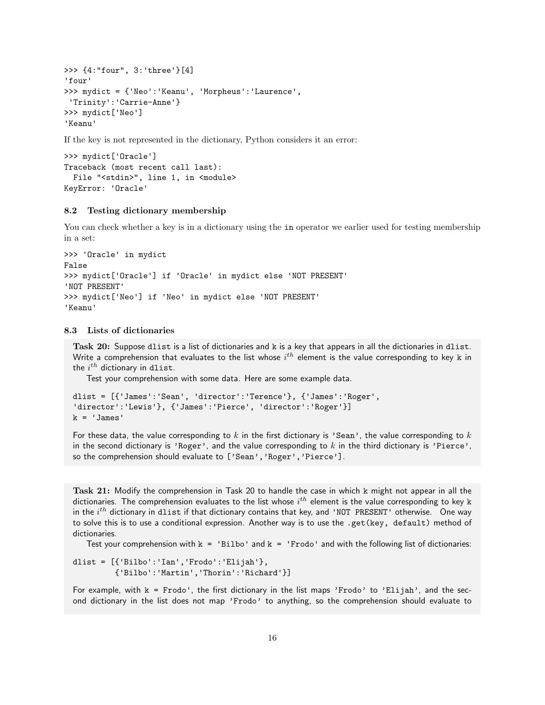```
>>> {4:"four", 3:'three'}[4]
'four'
>>> mydict = {'Neo':'Keanu', 'Morpheus':'Laurence',
'Trinity':'Carrie-Anne'}
>>> mydict['Neo']
'Keanu'
```
If the key is not represented in the dictionary, Python considers it an error:

```
>>> mydict['Oracle']
Traceback (most recent call last):
 File "<stdin>", line 1, in <module>
KeyError: 'Oracle'
```
## 8.2 Testing dictionary membership

You can check whether a key is in a dictionary using the in operator we earlier used for testing membership in a set:

```
>>> 'Oracle' in mydict
False
>>> mydict['Oracle'] if 'Oracle' in mydict else 'NOT PRESENT'
'NOT PRESENT'
>>> mydict['Neo'] if 'Neo' in mydict else 'NOT PRESENT'
'Keanu'
```
# 8.3 Lists of dictionaries

Task 20: Suppose dlist is a list of dictionaries and k is a key that appears in all the dictionaries in dlist. Write a comprehension that evaluates to the list whose  $i^{th}$  element is the value corresponding to key  $\bm{{\rm k}}$  in the  $i^{th}$  dictionary in <code>dlist</code>.

Test your comprehension with some data. Here are some example data.

```
dlist = [{'James':'Sean', 'director':'Terence'}, {'James':'Roger',
'director':'Lewis'}, {'James':'Pierce', 'director':'Roger'}]
k = 'James'
```
For these data, the value corresponding to k in the first dictionary is 'Sean', the value corresponding to  $k$ in the second dictionary is 'Roger', and the value corresponding to  $k$  in the third dictionary is 'Pierce', so the comprehension should evaluate to ['Sean', 'Roger', 'Pierce'].

Task 21: Modify the comprehension in Task 20 to handle the case in which k might not appear in all the dictionaries. The comprehension evaluates to the list whose  $i^{th}$  element is the value corresponding to key  $\bm{{\rm k}}$ in the  $i^{th}$  dictionary in dlist if that dictionary contains that key, and 'NOT PRESENT' otherwise.  $\,$  One way to solve this is to use a conditional expression. Another way is to use the .get(key, default) method of dictionaries.

Test your comprehension with  $k = 'Bilbo'$  and  $k = 'Frodo'$  and with the following list of dictionaries:

dlist = [{'Bilbo':'Ian','Frodo':'Elijah'}, {'Bilbo':'Martin','Thorin':'Richard'}]

For example, with  $k =$  Frodo', the first dictionary in the list maps 'Frodo' to 'Elijah', and the second dictionary in the list does not map 'Frodo' to anything, so the comprehension should evaluate to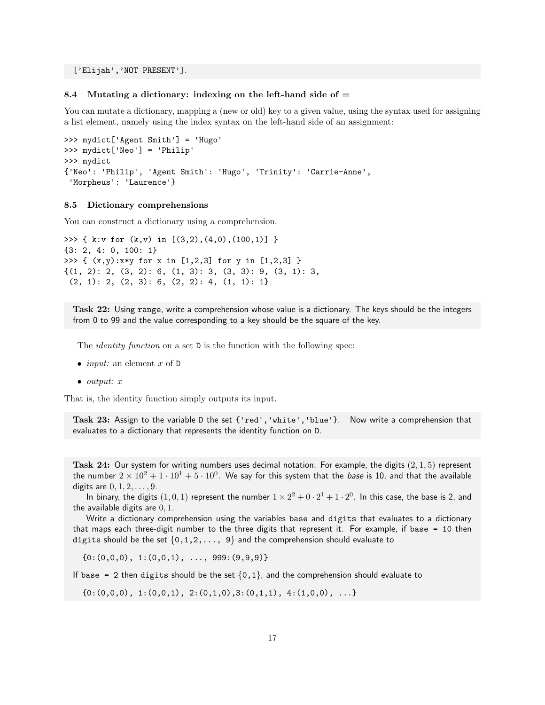['Elijah','NOT PRESENT'].

#### 8.4 Mutating a dictionary: indexing on the left-hand side of  $=$

You can mutate a dictionary, mapping a (new or old) key to a given value, using the syntax used for assigning a list element, namely using the index syntax on the left-hand side of an assignment:

```
>>> mydict['Agent Smith'] = 'Hugo'
>>> mydict['Neo'] = 'Philip'
>>> mydict
{'Neo': 'Philip', 'Agent Smith': 'Hugo', 'Trinity': 'Carrie-Anne',
 'Morpheus': 'Laurence'}
```
## 8.5 Dictionary comprehensions

You can construct a dictionary using a comprehension.

```
>>> { k:v for (k,v) in [(3,2),(4,0),(100,1)] }
{3: 2, 4: 0, 100: 1}
>>> { (x,y):x*y for x in [1,2,3] for y in [1,2,3] }
{(1, 2): 2, (3, 2): 6, (1, 3): 3, (3, 3): 9, (3, 1): 3,
 (2, 1): 2, (2, 3): 6, (2, 2): 4, (1, 1): 1
```
Task 22: Using range, write a comprehension whose value is a dictionary. The keys should be the integers from 0 to 99 and the value corresponding to a key should be the square of the key.

The *identity function* on a set **D** is the function with the following spec:

- *input:* an element  $x$  of  $D$
- output: x

That is, the identity function simply outputs its input.

Task 23: Assign to the variable D the set {'red','white','blue'}. Now write a comprehension that evaluates to a dictionary that represents the identity function on D.

Task 24: Our system for writing numbers uses decimal notation. For example, the digits  $(2, 1, 5)$  represent the number  $2\times 10^2+1\cdot 10^1+5\cdot 10^0.$  We say for this system that the *base* is 10, and that the available digits are  $0, 1, 2, ..., 9$ .

In binary, the digits  $(1,0,1)$  represent the number  $1\times 2^2+0\cdot 2^1+1\cdot 2^0$ . In this case, the base is 2, and the available digits are  $0, 1$ .

Write a dictionary comprehension using the variables base and digits that evaluates to a dictionary that maps each three-digit number to the three digits that represent it. For example, if base = 10 then digits should be the set  $\{0,1,2,\ldots, 9\}$  and the comprehension should evaluate to

 ${0:(0,0,0), 1:(0,0,1), ..., 999:(9,9,9)}$ 

If base = 2 then digits should be the set  $\{0,1\}$ , and the comprehension should evaluate to

 $\{0:(0,0,0), 1:(0,0,1), 2:(0,1,0),3:(0,1,1), 4:(1,0,0), \ldots\}$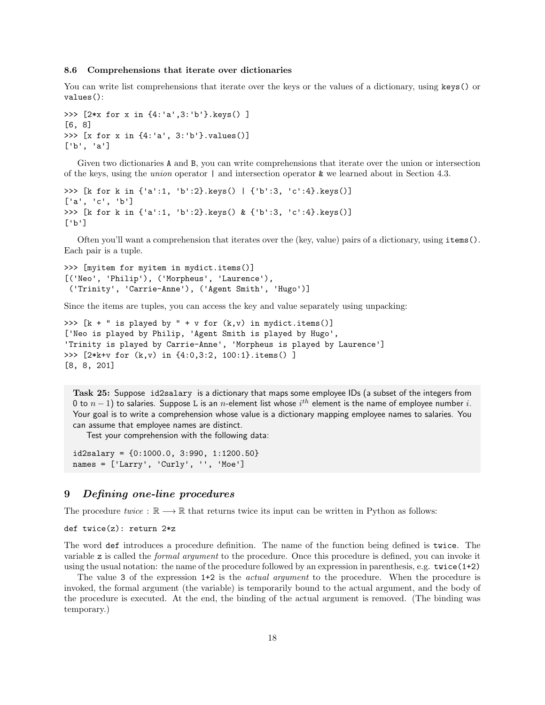#### 8.6 Comprehensions that iterate over dictionaries

You can write list comprehensions that iterate over the keys or the values of a dictionary, using keys() or values():

```
>>> [2*x for x in {4:'a',3:'b'}.keys() ]
[6, 8]
>>> [x for x in {4:'a', 3:'b'}.values()]
['b', 'a']
```
Given two dictionaries A and B, you can write comprehensions that iterate over the union or intersection of the keys, using the *union* operator  $\vert$  and intersection operator  $\⊂>$  we learned about in Section 4.3.

```
>>> [k for k in {'a':1, 'b':2}.keys() | {'b':3, 'c':4}.keys()]
['a', 'c', 'b']
>>> [k for k in {'a':1, 'b':2}.keys() & {'b':3, 'c':4}.keys()]
\lceil'b']
```
Often you'll want a comprehension that iterates over the (key, value) pairs of a dictionary, using items(). Each pair is a tuple.

```
>>> [myitem for myitem in mydict.items()]
[('Neo', 'Philip'), ('Morpheus', 'Laurence'),
 ('Trinity', 'Carrie-Anne'), ('Agent Smith', 'Hugo')]
```
Since the items are tuples, you can access the key and value separately using unpacking:

```
>>> [k + " is played by " + v for (k, v) in mydict.items()['Neo is played by Philip, 'Agent Smith is played by Hugo',
'Trinity is played by Carrie-Anne', 'Morpheus is played by Laurence']
>>> [2*k+v for (k,v) in {4:0,3:2, 100:1}.items() ]
[8, 8, 201]
```
Task 25: Suppose id2salary is a dictionary that maps some employee IDs (a subset of the integers from 0 to  $n-1)$  to salaries. Suppose L is an  $n$ -element list whose  $i^{th}$  element is the name of employee number  $i.$ Your goal is to write a comprehension whose value is a dictionary mapping employee names to salaries. You can assume that employee names are distinct.

Test your comprehension with the following data:

 $id2salary = {0:1000.0, 3:990, 1:1200.50}$ names =  $['Larry', 'Curly', ''', 'Moe']$ 

## 9 Defining one-line procedures

The procedure twice :  $\mathbb{R} \longrightarrow \mathbb{R}$  that returns twice its input can be written in Python as follows:

def twice(z): return 2\*z

The word def introduces a procedure definition. The name of the function being defined is twice. The variable z is called the formal argument to the procedure. Once this procedure is defined, you can invoke it using the usual notation: the name of the procedure followed by an expression in parenthesis, e.g. twice(1+2)

The value 3 of the expression 1+2 is the *actual argument* to the procedure. When the procedure is invoked, the formal argument (the variable) is temporarily bound to the actual argument, and the body of the procedure is executed. At the end, the binding of the actual argument is removed. (The binding was temporary.)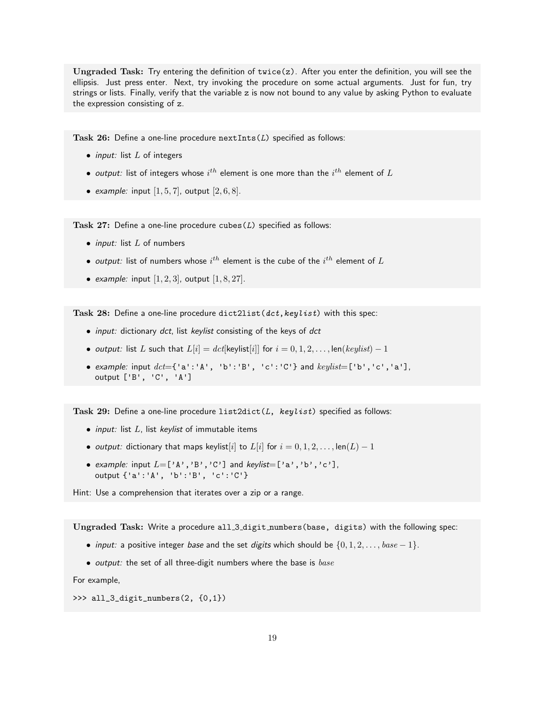Ungraded Task: Try entering the definition of twice(z). After you enter the definition, you will see the ellipsis. Just press enter. Next, try invoking the procedure on some actual arguments. Just for fun, try strings or lists. Finally, verify that the variable z is now not bound to any value by asking Python to evaluate the expression consisting of z.

Task  $26$ : Define a one-line procedure nextInts( $L$ ) specified as follows:

- *input:* list  $L$  of integers
- $\bullet$  output: list of integers whose  $i^{th}$  element is one more than the  $i^{th}$  element of  $L$
- example: input  $[1, 5, 7]$ , output  $[2, 6, 8]$ .

Task  $27:$  Define a one-line procedure cubes  $(L)$  specified as follows:

- *input:* list  $L$  of numbers
- $\bullet$  *output:* list of numbers whose  $i^{th}$  element is the cube of the  $i^{th}$  element of  $L$
- example: input  $[1, 2, 3]$ , output  $[1, 8, 27]$ .

Task 28: Define a one-line procedure dict2list(dct, keylist) with this spec:

- input: dictionary dct, list keylist consisting of the keys of dct
- output: list L such that  $L[i] = det[k$ eylist $[i]]$  for  $i = 0, 1, 2, \ldots, len(k \text{eylist}) 1$
- example: input  $\det$  = {'a':'A', 'b':'B', 'c':'C'} and  $\text{keylist}$  = ['b','c','a'], output ['B', 'C', 'A']

Task 29: Define a one-line procedure  $list2dict(L, keylist)$  specified as follows:

- $\bullet$  input: list  $L$ , list keylist of immutable items
- output: dictionary that maps keylist[i] to  $L[i]$  for  $i = 0, 1, 2, \ldots$ , len $(L) 1$
- example: input  $L = [\n\langle A', B', C'\n\rangle]$  and keylist= $[\n\langle a', b', C'\n\rangle]$ , output {'a':'A', 'b':'B', 'c':'C'}

Hint: Use a comprehension that iterates over a zip or a range.

Ungraded Task: Write a procedure all 3 digit numbers(base, digits) with the following spec:

- input: a positive integer base and the set digits which should be  $\{0, 1, 2, \ldots, base 1\}$ .
- output: the set of all three-digit numbers where the base is  $base$

For example,

```
>>> all_3_digit_numbers(2, {0,1})
```